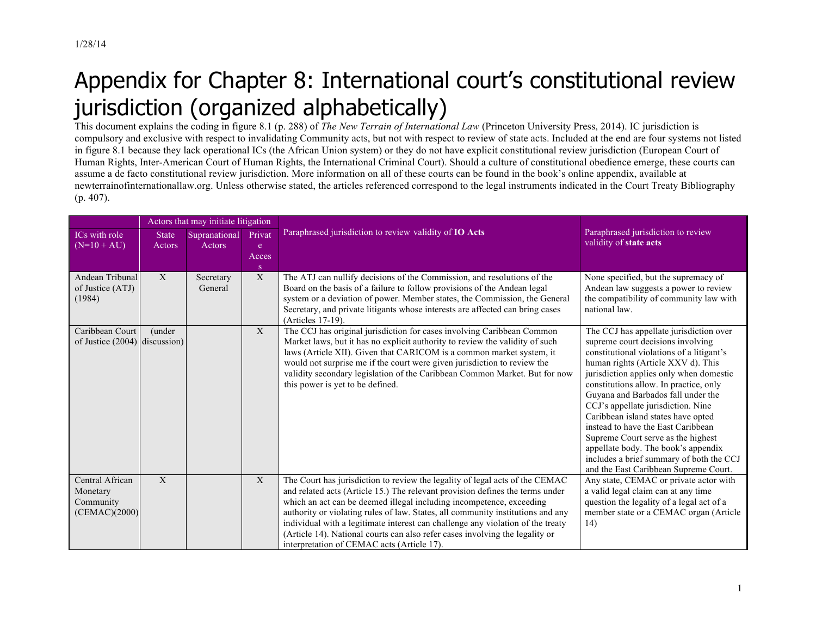## Appendix for Chapter 8: International court's constitutional review jurisdiction (organized alphabetically)

This document explains the coding in figure 8.1 (p. 288) of *The New Terrain of International Law* (Princeton University Press, 2014). IC jurisdiction is compulsory and exclusive with respect to invalidating Community acts, but not with respect to review of state acts. Included at the end are four systems not listed in figure 8.1 because they lack operational ICs (the African Union system) or they do not have explicit constitutional review jurisdiction (European Court of Human Rights, Inter-American Court of Human Rights, the International Criminal Court). Should a culture of constitutional obedience emerge, these courts can assume a de facto constitutional review jurisdiction. More information on all of these courts can be found in the book's online appendix, available at newterrainofinternationallaw.org. Unless otherwise stated, the articles referenced correspond to the legal instruments indicated in the Court Treaty Bibliography (p. 407).

|                                                           | Actors that may initiate litigation |                         |                           |                                                                                                                                                                                                                                                                                                                                                                                                                                                                                                                                           |                                                                                                                                                                                                                                                                                                                                                                                                                                                                                                                                                                                |
|-----------------------------------------------------------|-------------------------------------|-------------------------|---------------------------|-------------------------------------------------------------------------------------------------------------------------------------------------------------------------------------------------------------------------------------------------------------------------------------------------------------------------------------------------------------------------------------------------------------------------------------------------------------------------------------------------------------------------------------------|--------------------------------------------------------------------------------------------------------------------------------------------------------------------------------------------------------------------------------------------------------------------------------------------------------------------------------------------------------------------------------------------------------------------------------------------------------------------------------------------------------------------------------------------------------------------------------|
| ICs with role<br>$(N=10+AU)$                              | <b>State</b><br>Actors              | Supranational<br>Actors | Privat<br>e<br>Acces<br>S | Paraphrased jurisdiction to review validity of IO Acts                                                                                                                                                                                                                                                                                                                                                                                                                                                                                    | Paraphrased jurisdiction to review<br>validity of state acts                                                                                                                                                                                                                                                                                                                                                                                                                                                                                                                   |
| Andean Tribunal<br>of Justice (ATJ)<br>(1984)             | $\mathbf X$                         | Secretary<br>General    | $\mathbf X$               | The ATJ can nullify decisions of the Commission, and resolutions of the<br>Board on the basis of a failure to follow provisions of the Andean legal<br>system or a deviation of power. Member states, the Commission, the General<br>Secretary, and private litigants whose interests are affected can bring cases<br>(Articles 17-19).                                                                                                                                                                                                   | None specified, but the supremacy of<br>Andean law suggests a power to review<br>the compatibility of community law with<br>national law.                                                                                                                                                                                                                                                                                                                                                                                                                                      |
| Caribbean Court<br>of Justice $(2004)$ discussion)        | (under                              |                         | $\mathbf X$               | The CCJ has original jurisdiction for cases involving Caribbean Common<br>Market laws, but it has no explicit authority to review the validity of such<br>laws (Article XII). Given that CARICOM is a common market system, it<br>would not surprise me if the court were given jurisdiction to review the<br>validity secondary legislation of the Caribbean Common Market. But for now<br>this power is yet to be defined.                                                                                                              | The CCJ has appellate jurisdiction over<br>supreme court decisions involving<br>constitutional violations of a litigant's<br>human rights (Article XXV d). This<br>jurisdiction applies only when domestic<br>constitutions allow. In practice, only<br>Guyana and Barbados fall under the<br>CCJ's appellate jurisdiction. Nine<br>Caribbean island states have opted<br>instead to have the East Caribbean<br>Supreme Court serve as the highest<br>appellate body. The book's appendix<br>includes a brief summary of both the CCJ<br>and the East Caribbean Supreme Court. |
| Central African<br>Monetary<br>Community<br>(CEMAC)(2000) | $\mathbf X$                         |                         | X                         | The Court has jurisdiction to review the legality of legal acts of the CEMAC<br>and related acts (Article 15.) The relevant provision defines the terms under<br>which an act can be deemed illegal including incompetence, exceeding<br>authority or violating rules of law. States, all community institutions and any<br>individual with a legitimate interest can challenge any violation of the treaty<br>(Article 14). National courts can also refer cases involving the legality or<br>interpretation of CEMAC acts (Article 17). | Any state, CEMAC or private actor with<br>a valid legal claim can at any time<br>question the legality of a legal act of a<br>member state or a CEMAC organ (Article<br>(14)                                                                                                                                                                                                                                                                                                                                                                                                   |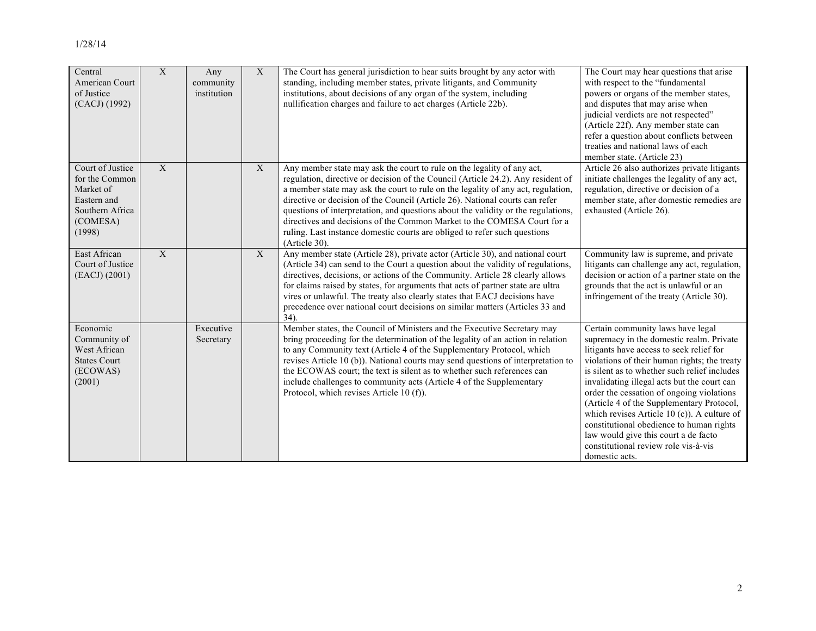| Central<br>American Court<br>of Justice<br>(CACJ) (1992)                                                | X | Any<br>community<br>institution | $\mathbf X$  | The Court has general jurisdiction to hear suits brought by any actor with<br>standing, including member states, private litigants, and Community<br>institutions, about decisions of any organ of the system, including<br>nullification charges and failure to act charges (Article 22b).                                                                                                                                                                                                                                                                                                  | The Court may hear questions that arise<br>with respect to the "fundamental<br>powers or organs of the member states,<br>and disputes that may arise when<br>judicial verdicts are not respected"<br>(Article 22f). Any member state can<br>refer a question about conflicts between<br>treaties and national laws of each<br>member state. (Article 23)                                                                                                                                                                                                        |
|---------------------------------------------------------------------------------------------------------|---|---------------------------------|--------------|----------------------------------------------------------------------------------------------------------------------------------------------------------------------------------------------------------------------------------------------------------------------------------------------------------------------------------------------------------------------------------------------------------------------------------------------------------------------------------------------------------------------------------------------------------------------------------------------|-----------------------------------------------------------------------------------------------------------------------------------------------------------------------------------------------------------------------------------------------------------------------------------------------------------------------------------------------------------------------------------------------------------------------------------------------------------------------------------------------------------------------------------------------------------------|
| Court of Justice<br>for the Common<br>Market of<br>Eastern and<br>Southern Africa<br>(COMESA)<br>(1998) | X |                                 | $\mathbf{X}$ | Any member state may ask the court to rule on the legality of any act,<br>regulation, directive or decision of the Council (Article 24.2). Any resident of<br>a member state may ask the court to rule on the legality of any act, regulation,<br>directive or decision of the Council (Article 26). National courts can refer<br>questions of interpretation, and questions about the validity or the regulations,<br>directives and decisions of the Common Market to the COMESA Court for a<br>ruling. Last instance domestic courts are obliged to refer such questions<br>(Article 30). | Article 26 also authorizes private litigants<br>initiate challenges the legality of any act,<br>regulation, directive or decision of a<br>member state, after domestic remedies are<br>exhausted (Article 26).                                                                                                                                                                                                                                                                                                                                                  |
| East African<br>Court of Justice<br>(EACJ) (2001)                                                       | X |                                 | X            | Any member state (Article 28), private actor (Article 30), and national court<br>(Article 34) can send to the Court a question about the validity of regulations,<br>directives, decisions, or actions of the Community. Article 28 clearly allows<br>for claims raised by states, for arguments that acts of partner state are ultra<br>vires or unlawful. The treaty also clearly states that EACJ decisions have<br>precedence over national court decisions on similar matters (Articles 33 and<br>$34$ ).                                                                               | Community law is supreme, and private<br>litigants can challenge any act, regulation,<br>decision or action of a partner state on the<br>grounds that the act is unlawful or an<br>infringement of the treaty (Article 30).                                                                                                                                                                                                                                                                                                                                     |
| Economic<br>Community of<br>West African<br><b>States Court</b><br>(ECOWAS)<br>(2001)                   |   | Executive<br>Secretary          |              | Member states, the Council of Ministers and the Executive Secretary may<br>bring proceeding for the determination of the legality of an action in relation<br>to any Community text (Article 4 of the Supplementary Protocol, which<br>revises Article 10 (b)). National courts may send questions of interpretation to<br>the ECOWAS court; the text is silent as to whether such references can<br>include challenges to community acts (Article 4 of the Supplementary<br>Protocol, which revises Article 10 (f).                                                                         | Certain community laws have legal<br>supremacy in the domestic realm. Private<br>litigants have access to seek relief for<br>violations of their human rights; the treaty<br>is silent as to whether such relief includes<br>invalidating illegal acts but the court can<br>order the cessation of ongoing violations<br>(Article 4 of the Supplementary Protocol,<br>which revises Article 10 (c)). A culture of<br>constitutional obedience to human rights<br>law would give this court a de facto<br>constitutional review role vis-à-vis<br>domestic acts. |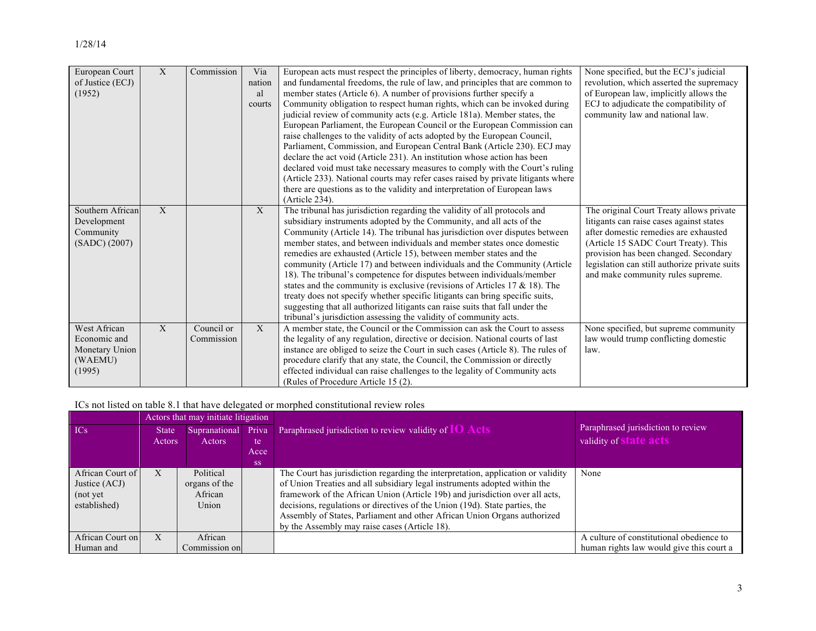| European Court<br>of Justice (ECJ)<br>(1952)                        | X            | Commission               | Via<br>nation<br>al<br>courts | European acts must respect the principles of liberty, democracy, human rights<br>and fundamental freedoms, the rule of law, and principles that are common to<br>member states (Article 6). A number of provisions further specify a<br>Community obligation to respect human rights, which can be invoked during<br>judicial review of community acts (e.g. Article 181a). Member states, the<br>European Parliament, the European Council or the European Commission can<br>raise challenges to the validity of acts adopted by the European Council,<br>Parliament, Commission, and European Central Bank (Article 230). ECJ may<br>declare the act void (Article 231). An institution whose action has been<br>declared void must take necessary measures to comply with the Court's ruling<br>(Article 233). National courts may refer cases raised by private litigants where<br>there are questions as to the validity and interpretation of European laws<br>$(Article 234)$ . | None specified, but the ECJ's judicial<br>revolution, which asserted the supremacy<br>of European law, implicitly allows the<br>ECJ to adjudicate the compatibility of<br>community law and national law.                                                                                            |
|---------------------------------------------------------------------|--------------|--------------------------|-------------------------------|----------------------------------------------------------------------------------------------------------------------------------------------------------------------------------------------------------------------------------------------------------------------------------------------------------------------------------------------------------------------------------------------------------------------------------------------------------------------------------------------------------------------------------------------------------------------------------------------------------------------------------------------------------------------------------------------------------------------------------------------------------------------------------------------------------------------------------------------------------------------------------------------------------------------------------------------------------------------------------------|------------------------------------------------------------------------------------------------------------------------------------------------------------------------------------------------------------------------------------------------------------------------------------------------------|
| Southern African<br>Development<br>Community<br>(SADC) (2007)       | $\mathbf{X}$ |                          | X                             | The tribunal has jurisdiction regarding the validity of all protocols and<br>subsidiary instruments adopted by the Community, and all acts of the<br>Community (Article 14). The tribunal has jurisdiction over disputes between<br>member states, and between individuals and member states once domestic<br>remedies are exhausted (Article 15), between member states and the<br>community (Article 17) and between individuals and the Community (Article<br>18). The tribunal's competence for disputes between individuals/member<br>states and the community is exclusive (revisions of Articles 17 $\&$ 18). The<br>treaty does not specify whether specific litigants can bring specific suits,<br>suggesting that all authorized litigants can raise suits that fall under the<br>tribunal's jurisdiction assessing the validity of community acts.                                                                                                                          | The original Court Treaty allows private<br>litigants can raise cases against states<br>after domestic remedies are exhausted<br>(Article 15 SADC Court Treaty). This<br>provision has been changed. Secondary<br>legislation can still authorize private suits<br>and make community rules supreme. |
| West African<br>Economic and<br>Monetary Union<br>(WAEMU)<br>(1995) | X            | Council or<br>Commission | $\mathbf{X}$                  | A member state, the Council or the Commission can ask the Court to assess<br>the legality of any regulation, directive or decision. National courts of last<br>instance are obliged to seize the Court in such cases (Article 8). The rules of<br>procedure clarify that any state, the Council, the Commission or directly<br>effected individual can raise challenges to the legality of Community acts<br>(Rules of Procedure Article 15 (2).                                                                                                                                                                                                                                                                                                                                                                                                                                                                                                                                       | None specified, but supreme community<br>law would trump conflicting domestic<br>law.                                                                                                                                                                                                                |

ICs not listed on table 8.1 that have delegated or morphed constitutional review roles

|                  | Actors that may initiate litigation |                     |           |                                                                                  |                                          |
|------------------|-------------------------------------|---------------------|-----------|----------------------------------------------------------------------------------|------------------------------------------|
| ICs              | <b>State</b>                        | Supranational Priva |           | Paraphrased jurisdiction to review validity of $IO$ Acts                         | Paraphrased jurisdiction to review       |
|                  | Actors                              | Actors              | te        |                                                                                  | validity of <b>state acts</b>            |
|                  |                                     |                     | Acce      |                                                                                  |                                          |
|                  |                                     |                     | <b>SS</b> |                                                                                  |                                          |
| African Court of | X                                   | Political           |           | The Court has jurisdiction regarding the interpretation, application or validity | None                                     |
| Justice (ACJ)    |                                     | organs of the       |           | of Union Treaties and all subsidiary legal instruments adopted within the        |                                          |
| (not yet)        |                                     | African             |           | framework of the African Union (Article 19b) and jurisdiction over all acts,     |                                          |
| established)     |                                     | Union               |           | decisions, regulations or directives of the Union (19d). State parties, the      |                                          |
|                  |                                     |                     |           | Assembly of States, Parliament and other African Union Organs authorized         |                                          |
|                  |                                     |                     |           | by the Assembly may raise cases (Article 18).                                    |                                          |
| African Court on | X                                   | African             |           |                                                                                  | A culture of constitutional obedience to |
| Human and        |                                     | Commission on       |           |                                                                                  | human rights law would give this court a |